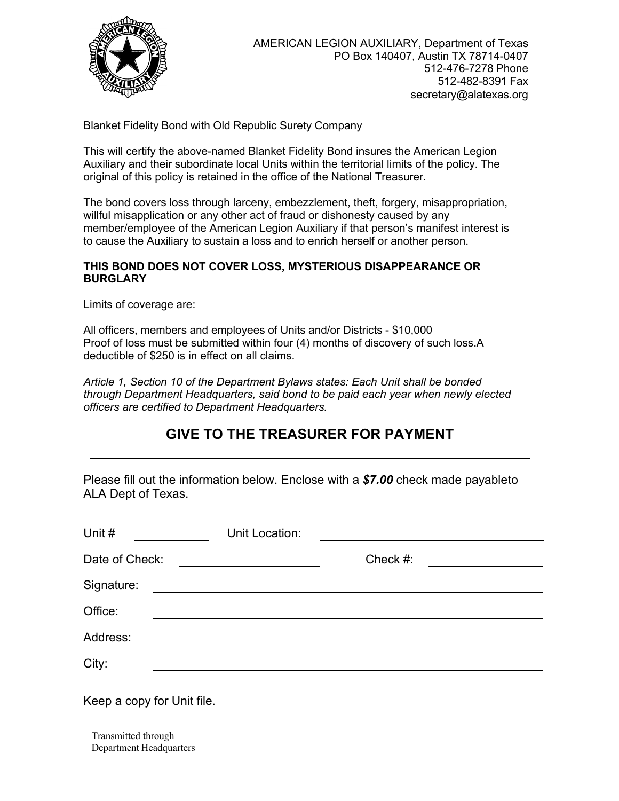

Blanket Fidelity Bond with Old Republic Surety Company

This will certify the above-named Blanket Fidelity Bond insures the American Legion Auxiliary and their subordinate local Units within the territorial limits of the policy. The original of this policy is retained in the office of the National Treasurer.

The bond covers loss through larceny, embezzlement, theft, forgery, misappropriation, willful misapplication or any other act of fraud or dishonesty caused by any member/employee of the American Legion Auxiliary if that person's manifest interest is to cause the Auxiliary to sustain a loss and to enrich herself or another person.

## **THIS BOND DOES NOT COVER LOSS, MYSTERIOUS DISAPPEARANCE OR BURGLARY**

Limits of coverage are:

All officers, members and employees of Units and/or Districts - \$10,000 Proof of loss must be submitted within four (4) months of discovery of such loss.A deductible of \$250 is in effect on all claims.

*Article 1, Section 10 of the Department Bylaws states: Each Unit shall be bonded through Department Headquarters, said bond to be paid each year when newly elected officers are certified to Department Headquarters.*

## **GIVE TO THE TREASURER FOR PAYMENT**

Please fill out the information below. Enclose with a \$7.00 check made payableto ALA Dept of Texas.

| Unit #         | Unit Location:                                                                                                       |             |  |
|----------------|----------------------------------------------------------------------------------------------------------------------|-------------|--|
| Date of Check: |                                                                                                                      | Check $#$ : |  |
| Signature:     | <u> 1980 - Jan Stein Stein Stein Stein Stein Stein Stein Stein Stein Stein Stein Stein Stein Stein Stein Stein S</u> |             |  |
| Office:        |                                                                                                                      |             |  |
| Address:       |                                                                                                                      |             |  |
| City:          |                                                                                                                      |             |  |

Keep a copy for Unit file.

Transmitted through Department Headquarters